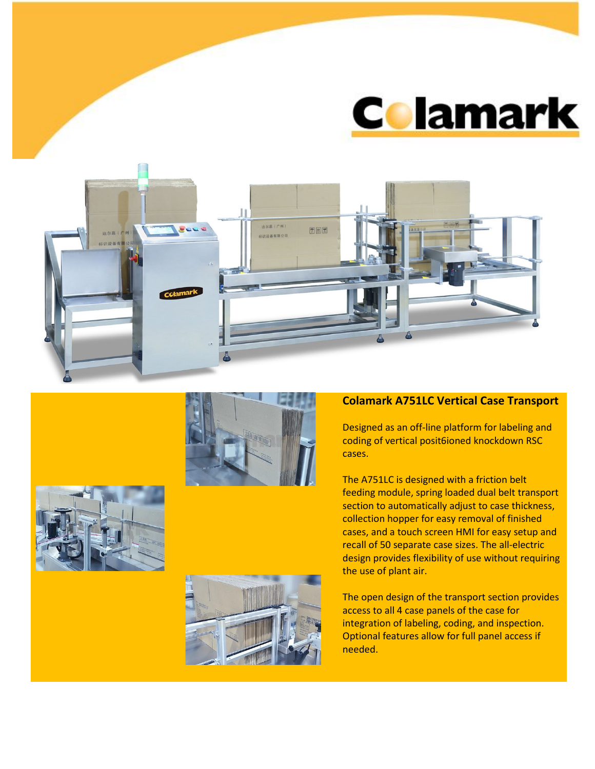









## **Colamark A751LC Vertical Case Transport**

Designed as an off-line platform for labeling and coding of vertical posit6ioned knockdown RSC cases.

The A751LC is designed with a friction belt feeding module, spring loaded dual belt transport section to automatically adjust to case thickness, collection hopper for easy removal of finished cases, and a touch screen HMI for easy setup and recall of 50 separate case sizes. The all-electric design provides flexibility of use without requiring the use of plant air.

The open design of the transport section provides access to all 4 case panels of the case for integration of labeling, coding, and inspection. Optional features allow for full panel access if needed.